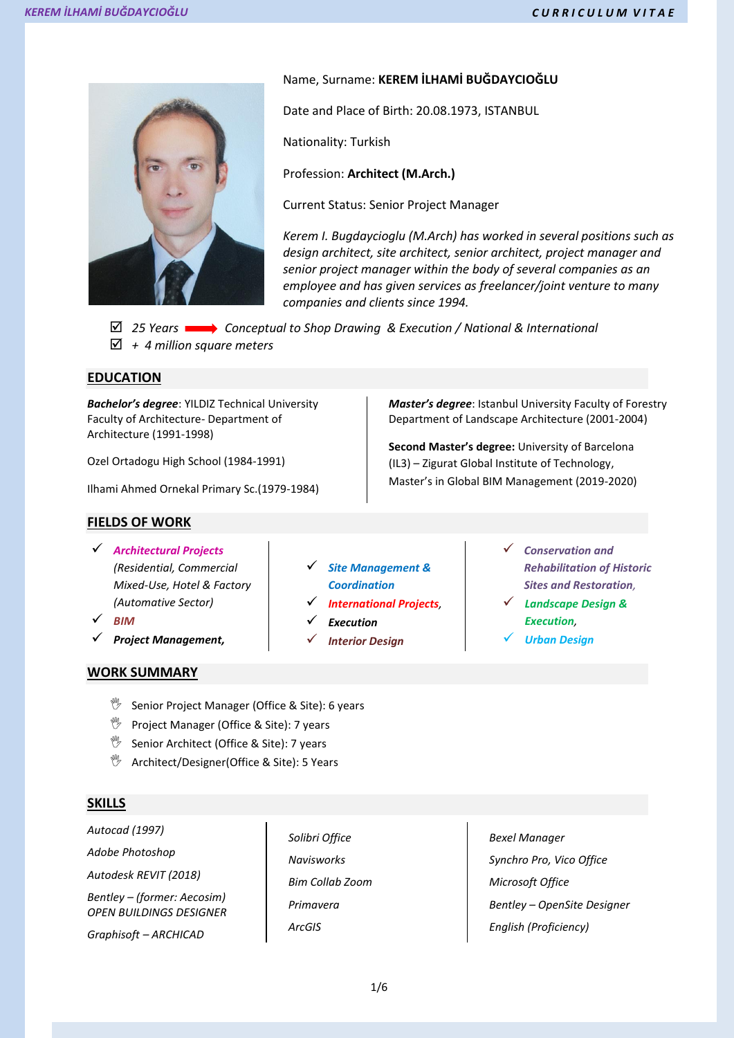

## Name, Surname: **KEREM İLHAMİ BUĞDAYCIOĞLU**

Date and Place of Birth: 20.08.1973, ISTANBUL

Nationality: Turkish

Profession: **Architect (M.Arch.)**

Current Status: Senior Project Manager

*Kerem I. Bugdaycioglu (M.Arch) has worked in several positions such as design architect, site architect, senior architect, project manager and senior project manager within the body of several companies as an employee and has given services as freelancer/joint venture to many companies and clients since 1994.*

 *25 Years Conceptual to Shop Drawing & Execution / National & International + 4 million square meters*

### **EDUCATION**

*Bachelor's degree*: YILDIZ Technical University Faculty of Architecture- Department of Architecture (1991-1998)

Ozel Ortadogu High School (1984-1991)

Ilhami Ahmed Ornekal Primary Sc.(1979-1984)

### **FIELDS OF WORK**

- *Architectural Projects (Residential, Commercial Mixed-Use, Hotel & Factory (Automative Sector)*
- *BIM*
- *Project Management,*
- **WORK SUMMARY**
- *Site Management & Coordination*
- *International Projects,*
- *Execution*
- *Interior Design*

*Master's degree*: Istanbul University Faculty of Forestry Department of Landscape Architecture (2001-2004)

**Second Master's degree:** University of Barcelona (IL3) – Zigurat Global Institute of Technology, Master's in Global BIM Management (2019-2020)

- *Conservation and Rehabilitation of Historic Sites and Restoration,*
- *Landscape Design & Execution,*
- *Urban Design*

- **<sup>16</sup>** Senior Project Manager (Office & Site): 6 years
- $\mathbb{V}$  Project Manager (Office & Site): 7 years
- **<sup>16</sup>** Senior Architect (Office & Site): 7 years
- **<sup><sup>1</sup>**</sup> Architect/Designer(Office & Site): 5 Years

## **SKILLS**

*Autocad (1997) Adobe Photoshop Autodesk REVIT (2018) Bentley – (former: Aecosim) OPEN BUILDINGS DESIGNER*

*Graphisoft – ARCHICAD*

*Solibri Office Navisworks Bim Collab Zoom Primavera ArcGIS* 

*Bexel Manager Synchro Pro, Vico Office Microsoft Office Bentley – OpenSite Designer English (Proficiency)*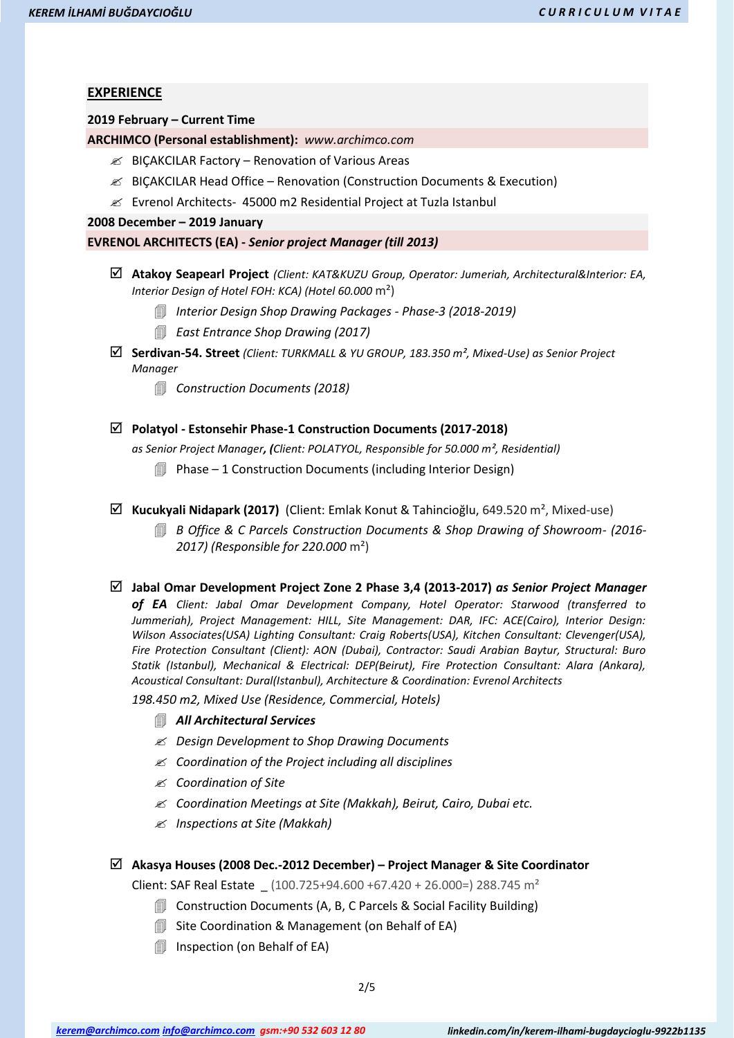# **EXPERIENCE**

#### **2019 February – Current Time**

**ARCHIMCO (Personal establishment):** *www.archimco.com* 

- $\mathcal{Z}$  BICAKCILAR Factory Renovation of Various Areas
- BIÇAKCILAR Head Office Renovation (Construction Documents & Execution)
- Evrenol Architects- 45000 m2 Residential Project at Tuzla Istanbul

**2008 December – 2019 January**

#### **EVRENOL ARCHITECTS (EA) -** *Senior project Manager (till 2013)*

- **Atakoy Seapearl Project** *(Client: KAT&KUZU Group, Operator: Jumeriah, Architectural&Interior: EA, Interior Design of Hotel FOH: KCA) (Hotel 60.000* m²)
	- *Interior Design Shop Drawing Packages - Phase-3 (2018-2019)*
	- *East Entrance Shop Drawing (2017)*
- **Serdivan-54. Street** *(Client: TURKMALL & YU GROUP, 183.350 m², Mixed-Use) as Senior Project Manager*
	- *Construction Documents (2018)*

## **Polatyol - Estonsehir Phase-1 Construction Documents (2017-2018)**

*as Senior Project Manager, (Client: POLATYOL, Responsible for 50.000 m², Residential)*

- **I** Phase 1 Construction Documents (including Interior Design)
- **Kucukyali Nidapark (2017)** (Client: Emlak Konut & Tahincioğlu, 649.520 m², Mixed-use)
	- *B Office & C Parcels Construction Documents & Shop Drawing of Showroom- (2016- 2017) (Responsible for 220.000* m²)
- **Jabal Omar Development Project Zone 2 Phase 3,4 (2013-2017)** *as Senior Project Manager*

*of EA Client: Jabal Omar Development Company, Hotel Operator: Starwood (transferred to Jummeriah), Project Management: HILL, Site Management: DAR, IFC: ACE(Cairo), Interior Design: Wilson Associates(USA) Lighting Consultant: Craig Roberts(USA), Kitchen Consultant: Clevenger(USA), Fire Protection Consultant (Client): AON (Dubai), Contractor: Saudi Arabian Baytur, Structural: Buro Statik (Istanbul), Mechanical & Electrical: DEP(Beirut), Fire Protection Consultant: Alara (Ankara), Acoustical Consultant: Dural(Istanbul), Architecture & Coordination: Evrenol Architects*

*198.450 m2, Mixed Use (Residence, Commercial, Hotels)* 

- *All Architectural Services*
- *Design Development to Shop Drawing Documents*
- *Coordination of the Project including all disciplines*
- *Coordination of Site*
- *Coordination Meetings at Site (Makkah), Beirut, Cairo, Dubai etc.*
- *Inspections at Site (Makkah)*

#### **Akasya Houses (2008 Dec.-2012 December) – Project Manager & Site Coordinator**

Client: SAF Real Estate  $(100.725+94.600+67.420+26.000=)$  288.745 m<sup>2</sup>

- **I** Construction Documents (A, B, C Parcels & Social Facility Building)
- **I** Site Coordination & Management (on Behalf of EA)
- **Inspection (on Behalf of EA)**

*[kerem@archimco.com](mailto:kerem@archimco.com) [info@archimco.com](mailto:info@archimco.com) gsm:+90 532 603 12 80 linkedin.com/in/kerem-ilhami-bugdaycioglu-9922b1135*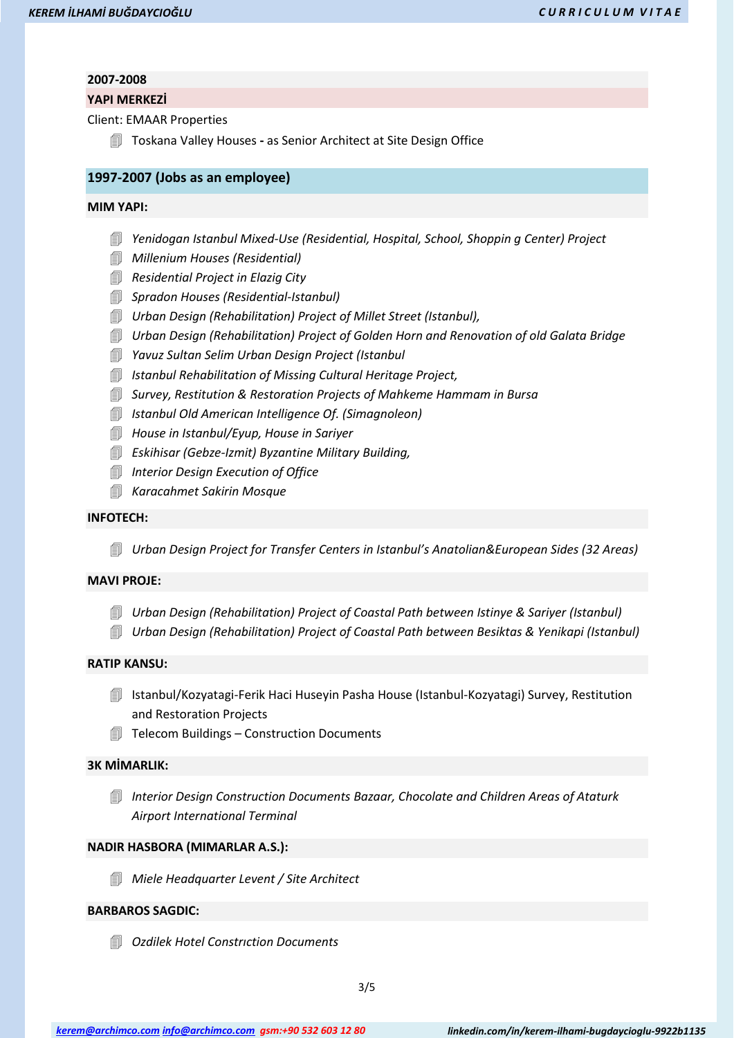#### **2007-2008**

#### **YAPI MERKEZİ**

Client: EMAAR Properties

Toskana Valley Houses **-** as Senior Architect at Site Design Office

### **1997-2007 (Jobs as an employee)**

#### **MIM YAPI:**

- *Yenidogan Istanbul Mixed-Use (Residential, Hospital, School, Shoppin g Center) Project*
- *Millenium Houses (Residential)*
- *Residential Project in Elazig City*
- *Spradon Houses (Residential-Istanbul)*
- *Urban Design (Rehabilitation) Project of Millet Street (Istanbul),*
- *Urban Design (Rehabilitation) Project of Golden Horn and Renovation of old Galata Bridge*
- *Yavuz Sultan Selim Urban Design Project (Istanbul*
- *Istanbul Rehabilitation of Missing Cultural Heritage Project,*
- *Survey, Restitution & Restoration Projects of Mahkeme Hammam in Bursa*
- *Istanbul Old American Intelligence Of. (Simagnoleon)*
- *House in Istanbul/Eyup, House in Sariyer*
- *Eskihisar (Gebze-Izmit) Byzantine Military Building,*
- *Interior Design Execution of Office*
- *Karacahmet Sakirin Mosque*

### **INFOTECH:**

*Urban Design Project for Transfer Centers in Istanbul's Anatolian&European Sides (32 Areas)*

### **MAVI PROJE:**

- *Urban Design (Rehabilitation) Project of Coastal Path between Istinye & Sariyer (Istanbul)*
- *Urban Design (Rehabilitation) Project of Coastal Path between Besiktas & Yenikapi (Istanbul)*

### **RATIP KANSU:**

- Istanbul/Kozyatagi-Ferik Haci Huseyin Pasha House (Istanbul-Kozyatagi) Survey, Restitution and Restoration Projects
- Telecom Buildings Construction Documents

# **3K MİMARLIK:**

 *Interior Design Construction Documents Bazaar, Chocolate and Children Areas of Ataturk Airport International Terminal*

### **NADIR HASBORA (MIMARLAR A.S.):**

*Miele Headquarter Levent / Site Architect*

## **BARBAROS SAGDIC:**

*Ozdilek Hotel Constrıction Documents*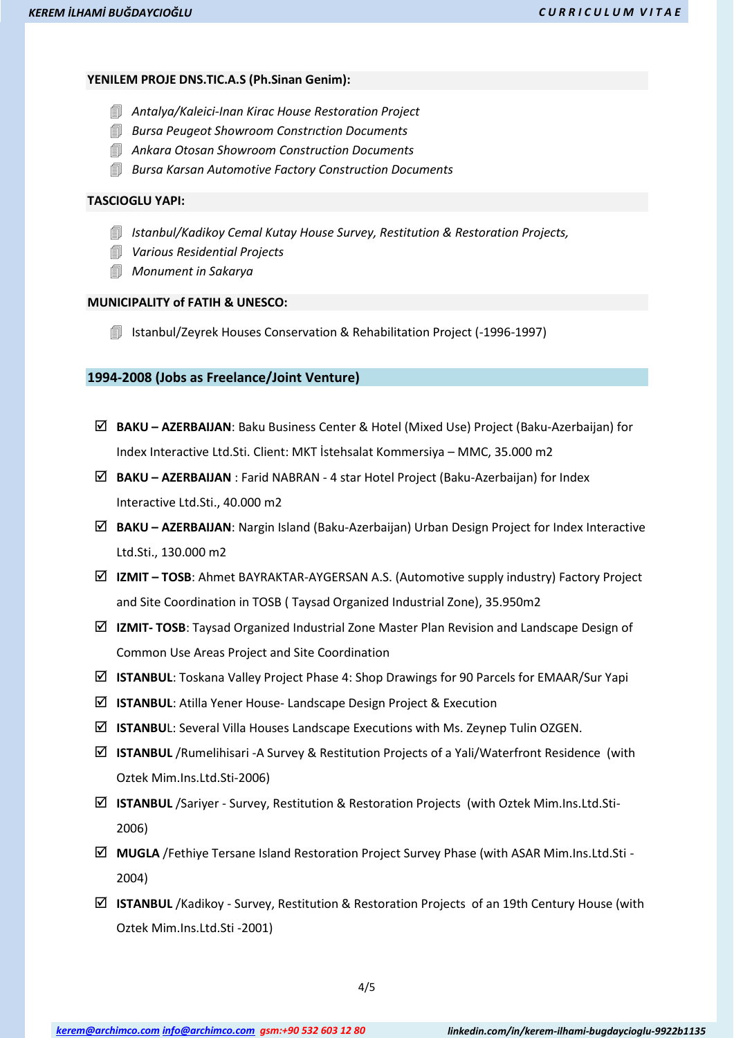### **YENILEM PROJE DNS.TIC.A.S (Ph.Sinan Genim):**

- *Antalya/Kaleici-Inan Kirac House Restoration Project*
- *Bursa Peugeot Showroom Constrıction Documents*
- *Ankara Otosan Showroom Construction Documents*
- *Bursa Karsan Automotive Factory Construction Documents*

### **TASCIOGLU YAPI:**

- *Istanbul/Kadikoy Cemal Kutay House Survey, Restitution & Restoration Projects,*
- *Various Residential Projects*
- *Monument in Sakarya*

# **MUNICIPALITY of FATIH & UNESCO:**

**I** Istanbul/Zeyrek Houses Conservation & Rehabilitation Project (-1996-1997)

### **1994-2008 (Jobs as Freelance/Joint Venture)**

- **BAKU – AZERBAIJAN**: Baku Business Center & Hotel (Mixed Use) Project (Baku-Azerbaijan) for Index Interactive Ltd.Sti. Client: MKT İstehsalat Kommersiya – MMC, 35.000 m2
- **BAKU – AZERBAIJAN** : Farid NABRAN 4 star Hotel Project (Baku-Azerbaijan) for Index Interactive Ltd.Sti., 40.000 m2
- **BAKU – AZERBAIJAN**: Nargin Island (Baku-Azerbaijan) Urban Design Project for Index Interactive Ltd.Sti., 130.000 m2
- **IZMIT – TOSB**: Ahmet BAYRAKTAR-AYGERSAN A.S. (Automotive supply industry) Factory Project and Site Coordination in TOSB ( Taysad Organized Industrial Zone), 35.950m2
- **IZMIT- TOSB**: Taysad Organized Industrial Zone Master Plan Revision and Landscape Design of Common Use Areas Project and Site Coordination
- **ISTANBUL**: Toskana Valley Project Phase 4: Shop Drawings for 90 Parcels for EMAAR/Sur Yapi
- $\boxed{ }$  **ISTANBUL**: Atilla Yener House- Landscape Design Project & Execution
- $\boxtimes$  **ISTANBU**L: Several Villa Houses Landscape Executions with Ms. Zeynep Tulin OZGEN.
- **ISTANBUL** /Rumelihisari -A Survey & Restitution Projects of a Yali/Waterfront Residence (with Oztek Mim.Ins.Ltd.Sti-2006)
- **ISTANBUL** /Sariyer Survey, Restitution & Restoration Projects (with Oztek Mim.Ins.Ltd.Sti-2006)
- **MUGLA** /Fethiye Tersane Island Restoration Project Survey Phase (with ASAR Mim.Ins.Ltd.Sti 2004)
- **ISTANBUL** /Kadikoy Survey, Restitution & Restoration Projects of an 19th Century House (with Oztek Mim.Ins.Ltd.Sti -2001)